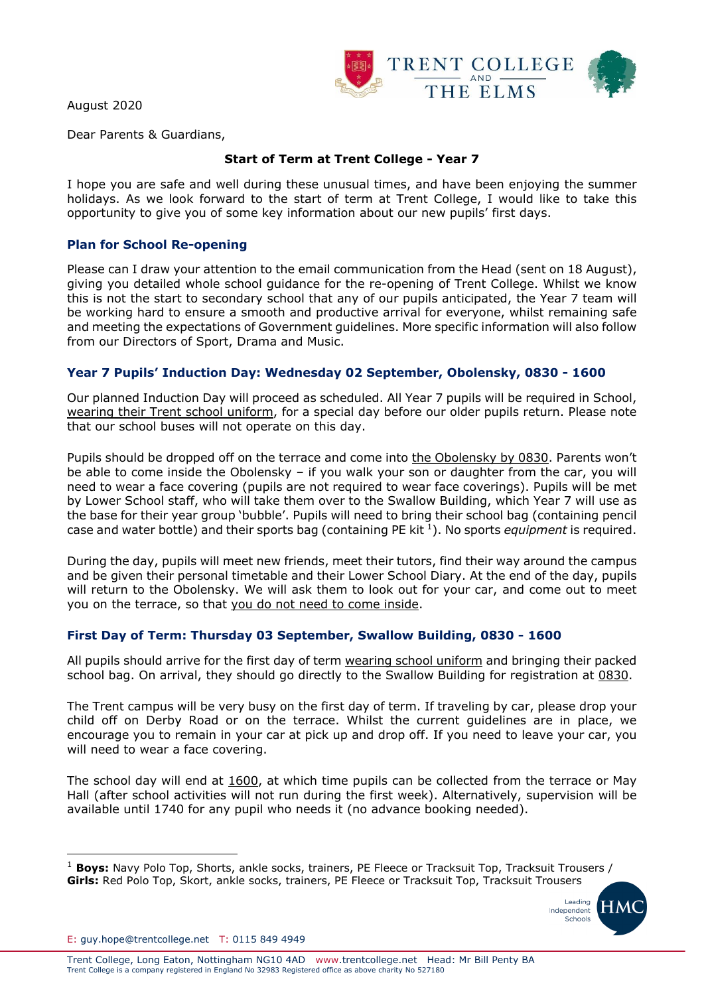August 2020



Dear Parents & Guardians,

# **Start of Term at Trent College - Year 7**

I hope you are safe and well during these unusual times, and have been enjoying the summer holidays. As we look forward to the start of term at Trent College, I would like to take this opportunity to give you of some key information about our new pupils' first days.

### **Plan for School Re-opening**

Please can I draw your attention to the email communication from the Head (sent on 18 August), giving you detailed whole school guidance for the re-opening of Trent College. Whilst we know this is not the start to secondary school that any of our pupils anticipated, the Year 7 team will be working hard to ensure a smooth and productive arrival for everyone, whilst remaining safe and meeting the expectations of Government guidelines. More specific information will also follow from our Directors of Sport, Drama and Music.

#### **Year 7 Pupils' Induction Day: Wednesday 02 September, Obolensky, 0830 - 1600**

Our planned Induction Day will proceed as scheduled. All Year 7 pupils will be required in School, wearing their Trent school uniform, for a special day before our older pupils return. Please note that our school buses will not operate on this day.

Pupils should be dropped off on the terrace and come into the Obolensky by 0830. Parents won't be able to come inside the Obolensky – if you walk your son or daughter from the car, you will need to wear a face covering (pupils are not required to wear face coverings). Pupils will be met by Lower School staff, who will take them over to the Swallow Building, which Year 7 will use as the base for their year group 'bubble'. Pupils will need to bring their school bag (containing pencil case and water bottle) and their sports bag (containing PE kit <sup>1</sup> ). No sports *equipment* is required.

During the day, pupils will meet new friends, meet their tutors, find their way around the campus and be given their personal timetable and their Lower School Diary. At the end of the day, pupils will return to the Obolensky. We will ask them to look out for your car, and come out to meet you on the terrace, so that you do not need to come inside.

## **First Day of Term: Thursday 03 September, Swallow Building, 0830 - 1600**

All pupils should arrive for the first day of term wearing school uniform and bringing their packed school bag. On arrival, they should go directly to the Swallow Building for registration at 0830.

The Trent campus will be very busy on the first day of term. If traveling by car, please drop your child off on Derby Road or on the terrace. Whilst the current guidelines are in place, we encourage you to remain in your car at pick up and drop off. If you need to leave your car, you will need to wear a face covering.

The school day will end at 1600, at which time pupils can be collected from the terrace or May Hall (after school activities will not run during the first week). Alternatively, supervision will be available until 1740 for any pupil who needs it (no advance booking needed).

<sup>&</sup>lt;sup>1</sup> Boys: Navy Polo Top, Shorts, ankle socks, trainers, PE Fleece or Tracksuit Top, Tracksuit Trousers / **Girls:** Red Polo Top, Skort, ankle socks, trainers, PE Fleece or Tracksuit Top, Tracksuit Trousers



E: guy.hope@trentcollege.net T: 0115 849 4949

l